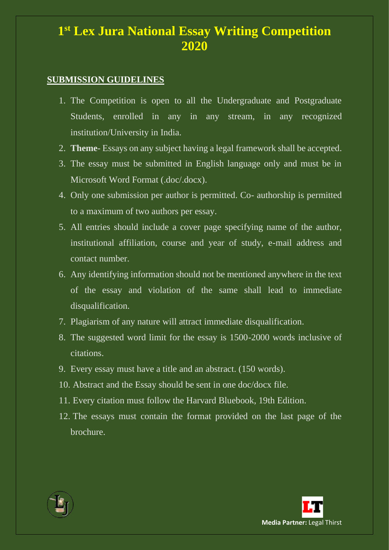# **1 st Lex Jura National Essay Writing Competition 2020**

#### **SUBMISSION GUIDELINES**

- 1. The Competition is open to all the Undergraduate and Postgraduate Students, enrolled in any in any stream, in any recognized institution/University in India.
- 2. **Theme** Essays on any subject having a legal framework shall be accepted.
- 3. The essay must be submitted in English language only and must be in Microsoft Word Format (.doc/.docx).
- 4. Only one submission per author is permitted. Co- authorship is permitted to a maximum of two authors per essay.
- 5. All entries should include a cover page specifying name of the author, institutional affiliation, course and year of study, e-mail address and contact number.
- 6. Any identifying information should not be mentioned anywhere in the text of the essay and violation of the same shall lead to immediate disqualification.
- 7. Plagiarism of any nature will attract immediate disqualification.
- 8. The suggested word limit for the essay is 1500-2000 words inclusive of citations.
- 9. Every essay must have a title and an abstract. (150 words).
- 10. Abstract and the Essay should be sent in one doc/docx file.
- 11. Every citation must follow the Harvard Bluebook, 19th Edition.
- 12. The essays must contain the format provided on the last page of the brochure.



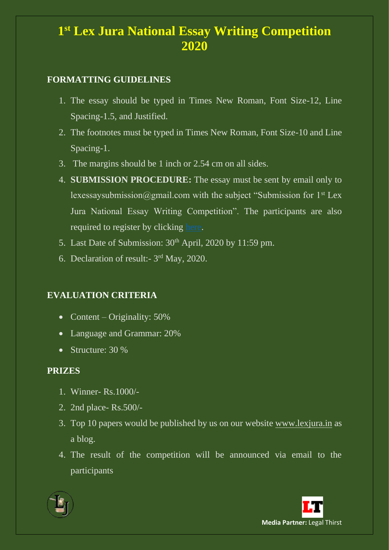# **1 st Lex Jura National Essay Writing Competition 2020**

#### **FORMATTING GUIDELINES**

- 1. The essay should be typed in Times New Roman, Font Size-12, Line Spacing-1.5, and Justified.
- 2. The footnotes must be typed in Times New Roman, Font Size-10 and Line Spacing-1.
- 3. The margins should be 1 inch or 2.54 cm on all sides.
- 4. **SUBMISSION PROCEDURE:** The essay must be sent by email only to lexessaysubmission@gmail.com with the subject "Submission for  $1<sup>st</sup>$  Lex Jura National Essay Writing Competition". The participants are also required to register by clicking [here.](https://docs.google.com/forms/d/e/1FAIpQLSekNUk3C1c4Lm0oLTS50qXDF4aeGArIT0mguLuLnQKoIJGfgQ/viewform?vc=0&c=0&w=1)
- 5. Last Date of Submission:  $30<sup>th</sup>$  April, 2020 by 11:59 pm.
- 6. Declaration of result:- 3<sup>rd</sup> May, 2020.

### **EVALUATION CRITERIA**

- Content Originality:  $50\%$
- Language and Grammar: 20%
- Structure: 30 %

#### **PRIZES**

- 1. Winner- Rs.1000/-
- 2. 2nd place- Rs.500/-
- 3. Top 10 papers would be published by us on our website [www.lexjura.in](http://www.lexjura.in/) as a blog.
- 4. The result of the competition will be announced via email to the participants